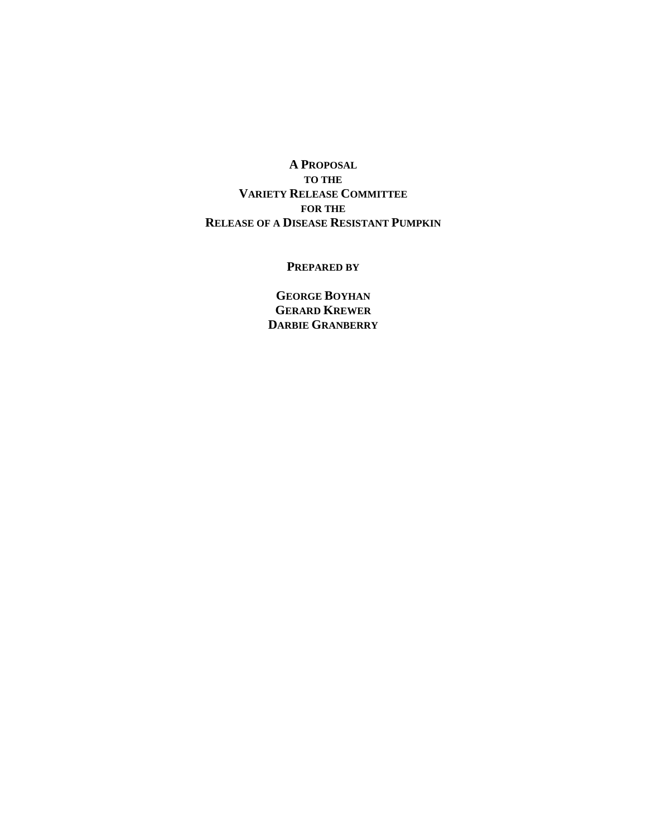**A PROPOSAL TO THE VARIETY RELEASE COMMITTEE FOR THE RELEASE OF A DISEASE RESISTANT PUMPKIN**

#### **PREPARED BY**

**GEORGE BOYHAN GERARD KREWER DARBIE GRANBERRY**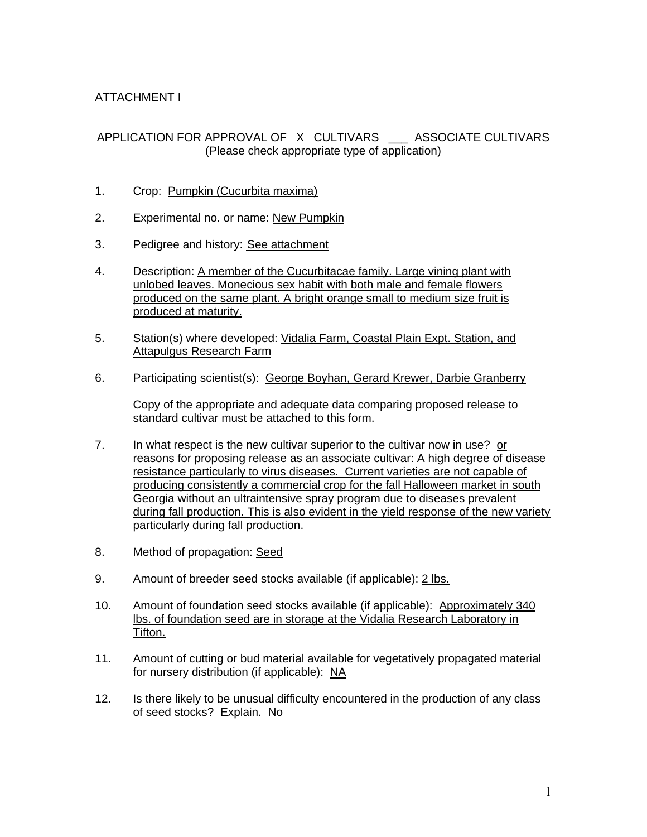### ATTACHMENT I

### APPLICATION FOR APPROVAL OF X CULTIVARS \_\_\_ ASSOCIATE CULTIVARS (Please check appropriate type of application)

- 1. Crop: Pumpkin (Cucurbita maxima)
- 2. Experimental no. or name: New Pumpkin
- 3. Pedigree and history: See attachment
- 4. Description: A member of the Cucurbitacae family. Large vining plant with unlobed leaves. Monecious sex habit with both male and female flowers produced on the same plant. A bright orange small to medium size fruit is produced at maturity.
- 5. Station(s) where developed: Vidalia Farm, Coastal Plain Expt. Station, and Attapulgus Research Farm
- 6. Participating scientist(s): George Boyhan, Gerard Krewer, Darbie Granberry

Copy of the appropriate and adequate data comparing proposed release to standard cultivar must be attached to this form.

- 7. In what respect is the new cultivar superior to the cultivar now in use? or reasons for proposing release as an associate cultivar: A high degree of disease resistance particularly to virus diseases. Current varieties are not capable of producing consistently a commercial crop for the fall Halloween market in south Georgia without an ultraintensive spray program due to diseases prevalent during fall production. This is also evident in the yield response of the new variety particularly during fall production.
- 8. Method of propagation: Seed
- 9. Amount of breeder seed stocks available (if applicable): 2 lbs.
- 10. Amount of foundation seed stocks available (if applicable): Approximately 340 lbs. of foundation seed are in storage at the Vidalia Research Laboratory in Tifton.
- 11. Amount of cutting or bud material available for vegetatively propagated material for nursery distribution (if applicable): NA
- 12. Is there likely to be unusual difficulty encountered in the production of any class of seed stocks? Explain. No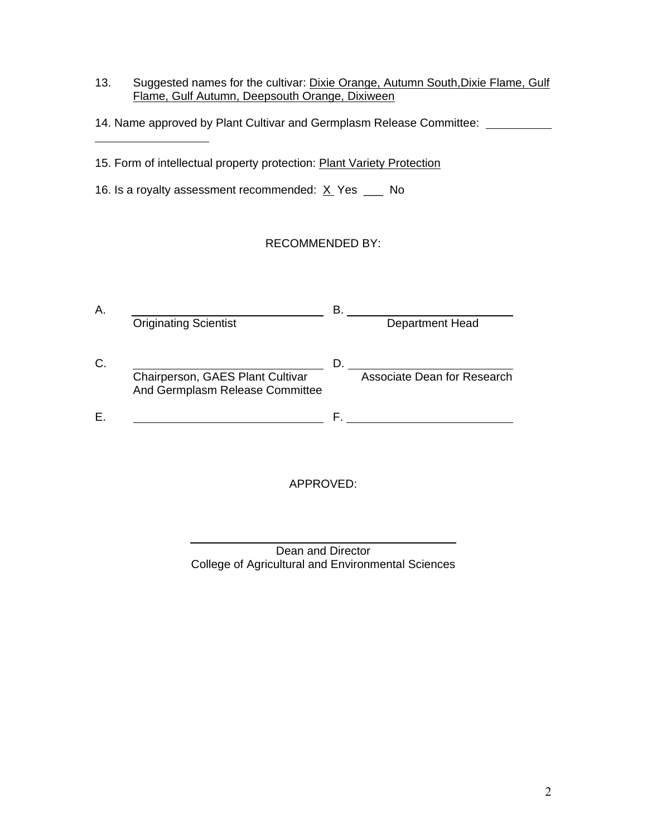- 13. Suggested names for the cultivar: Dixie Orange, Autumn South, Dixie Flame, Gulf Flame, Gulf Autumn, Deepsouth Orange, Dixiween
- 14. Name approved by Plant Cultivar and Germplasm Release Committee:
- 15. Form of intellectual property protection: Plant Variety Protection

16. Is a royalty assessment recommended:  $X$  Yes  $\frac{1}{100}$  No

 $\overline{a}$ 

 $\overline{a}$ 

### RECOMMENDED BY:

| А. | <b>Originating Scientist</b>     | в | <b>Department Head</b>      |
|----|----------------------------------|---|-----------------------------|
| C. | Chairperson, GAES Plant Cultivar |   | Associate Dean for Research |
|    | And Germplasm Release Committee  |   |                             |
|    |                                  |   |                             |

APPROVED:

| Dean and Director                                  |  |
|----------------------------------------------------|--|
| College of Agricultural and Environmental Sciences |  |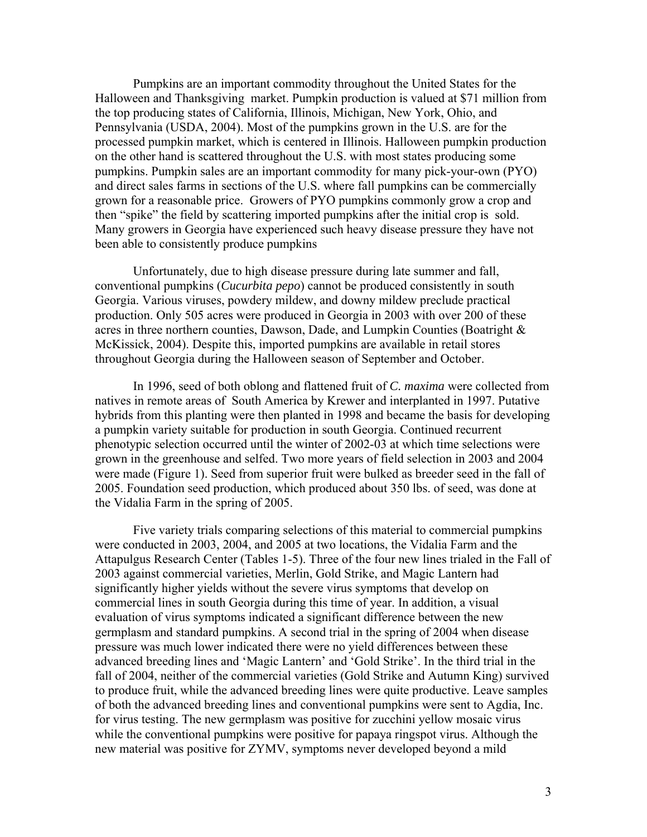Pumpkins are an important commodity throughout the United States for the Halloween and Thanksgiving market. Pumpkin production is valued at \$71 million from the top producing states of California, Illinois, Michigan, New York, Ohio, and Pennsylvania (USDA, 2004). Most of the pumpkins grown in the U.S. are for the processed pumpkin market, which is centered in Illinois. Halloween pumpkin production on the other hand is scattered throughout the U.S. with most states producing some pumpkins. Pumpkin sales are an important commodity for many pick-your-own (PYO) and direct sales farms in sections of the U.S. where fall pumpkins can be commercially grown for a reasonable price. Growers of PYO pumpkins commonly grow a crop and then "spike" the field by scattering imported pumpkins after the initial crop is sold. Many growers in Georgia have experienced such heavy disease pressure they have not been able to consistently produce pumpkins

Unfortunately, due to high disease pressure during late summer and fall, conventional pumpkins (*Cucurbita pepo*) cannot be produced consistently in south Georgia. Various viruses, powdery mildew, and downy mildew preclude practical production. Only 505 acres were produced in Georgia in 2003 with over 200 of these acres in three northern counties, Dawson, Dade, and Lumpkin Counties (Boatright & McKissick, 2004). Despite this, imported pumpkins are available in retail stores throughout Georgia during the Halloween season of September and October.

In 1996, seed of both oblong and flattened fruit of *C. maxima* were collected from natives in remote areas of South America by Krewer and interplanted in 1997. Putative hybrids from this planting were then planted in 1998 and became the basis for developing a pumpkin variety suitable for production in south Georgia. Continued recurrent phenotypic selection occurred until the winter of 2002-03 at which time selections were grown in the greenhouse and selfed. Two more years of field selection in 2003 and 2004 were made (Figure 1). Seed from superior fruit were bulked as breeder seed in the fall of 2005. Foundation seed production, which produced about 350 lbs. of seed, was done at the Vidalia Farm in the spring of 2005.

Five variety trials comparing selections of this material to commercial pumpkins were conducted in 2003, 2004, and 2005 at two locations, the Vidalia Farm and the Attapulgus Research Center (Tables 1-5). Three of the four new lines trialed in the Fall of 2003 against commercial varieties, Merlin, Gold Strike, and Magic Lantern had significantly higher yields without the severe virus symptoms that develop on commercial lines in south Georgia during this time of year. In addition, a visual evaluation of virus symptoms indicated a significant difference between the new germplasm and standard pumpkins. A second trial in the spring of 2004 when disease pressure was much lower indicated there were no yield differences between these advanced breeding lines and 'Magic Lantern' and 'Gold Strike'. In the third trial in the fall of 2004, neither of the commercial varieties (Gold Strike and Autumn King) survived to produce fruit, while the advanced breeding lines were quite productive. Leave samples of both the advanced breeding lines and conventional pumpkins were sent to Agdia, Inc. for virus testing. The new germplasm was positive for zucchini yellow mosaic virus while the conventional pumpkins were positive for papaya ringspot virus. Although the new material was positive for ZYMV, symptoms never developed beyond a mild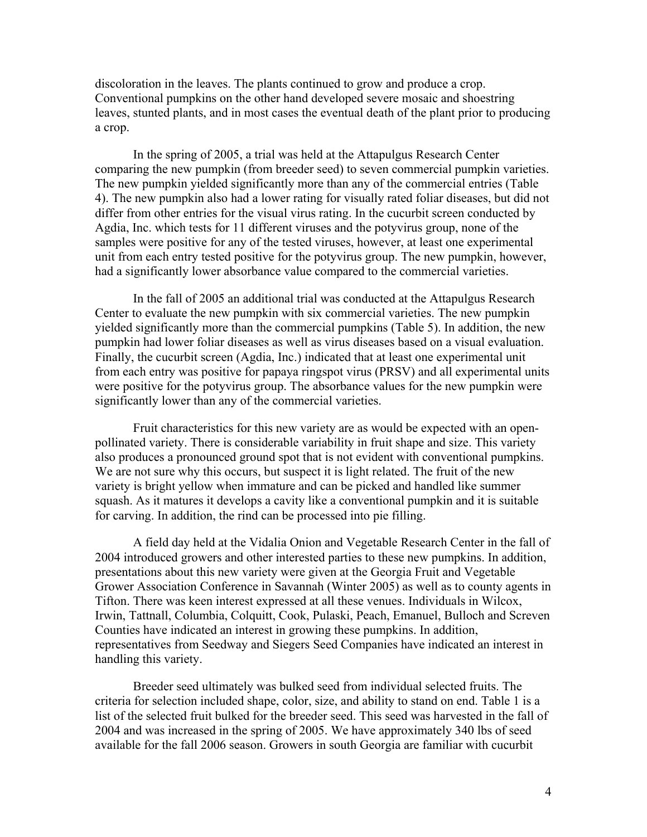discoloration in the leaves. The plants continued to grow and produce a crop. Conventional pumpkins on the other hand developed severe mosaic and shoestring leaves, stunted plants, and in most cases the eventual death of the plant prior to producing a crop.

In the spring of 2005, a trial was held at the Attapulgus Research Center comparing the new pumpkin (from breeder seed) to seven commercial pumpkin varieties. The new pumpkin yielded significantly more than any of the commercial entries (Table 4). The new pumpkin also had a lower rating for visually rated foliar diseases, but did not differ from other entries for the visual virus rating. In the cucurbit screen conducted by Agdia, Inc. which tests for 11 different viruses and the potyvirus group, none of the samples were positive for any of the tested viruses, however, at least one experimental unit from each entry tested positive for the potyvirus group. The new pumpkin, however, had a significantly lower absorbance value compared to the commercial varieties.

In the fall of 2005 an additional trial was conducted at the Attapulgus Research Center to evaluate the new pumpkin with six commercial varieties. The new pumpkin yielded significantly more than the commercial pumpkins (Table 5). In addition, the new pumpkin had lower foliar diseases as well as virus diseases based on a visual evaluation. Finally, the cucurbit screen (Agdia, Inc.) indicated that at least one experimental unit from each entry was positive for papaya ringspot virus (PRSV) and all experimental units were positive for the potyvirus group. The absorbance values for the new pumpkin were significantly lower than any of the commercial varieties.

Fruit characteristics for this new variety are as would be expected with an openpollinated variety. There is considerable variability in fruit shape and size. This variety also produces a pronounced ground spot that is not evident with conventional pumpkins. We are not sure why this occurs, but suspect it is light related. The fruit of the new variety is bright yellow when immature and can be picked and handled like summer squash. As it matures it develops a cavity like a conventional pumpkin and it is suitable for carving. In addition, the rind can be processed into pie filling.

A field day held at the Vidalia Onion and Vegetable Research Center in the fall of 2004 introduced growers and other interested parties to these new pumpkins. In addition, presentations about this new variety were given at the Georgia Fruit and Vegetable Grower Association Conference in Savannah (Winter 2005) as well as to county agents in Tifton. There was keen interest expressed at all these venues. Individuals in Wilcox, Irwin, Tattnall, Columbia, Colquitt, Cook, Pulaski, Peach, Emanuel, Bulloch and Screven Counties have indicated an interest in growing these pumpkins. In addition, representatives from Seedway and Siegers Seed Companies have indicated an interest in handling this variety.

Breeder seed ultimately was bulked seed from individual selected fruits. The criteria for selection included shape, color, size, and ability to stand on end. Table 1 is a list of the selected fruit bulked for the breeder seed. This seed was harvested in the fall of 2004 and was increased in the spring of 2005. We have approximately 340 lbs of seed available for the fall 2006 season. Growers in south Georgia are familiar with cucurbit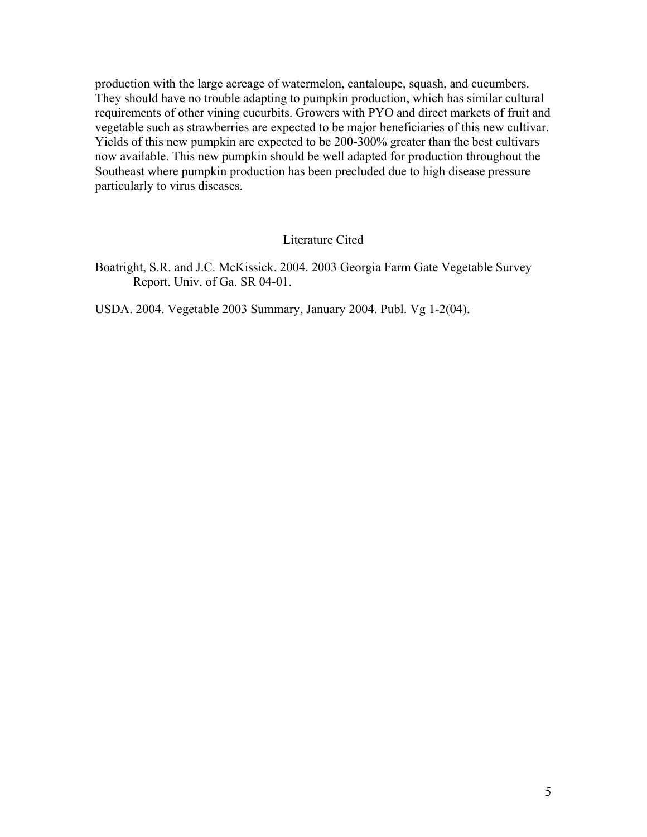production with the large acreage of watermelon, cantaloupe, squash, and cucumbers. They should have no trouble adapting to pumpkin production, which has similar cultural requirements of other vining cucurbits. Growers with PYO and direct markets of fruit and vegetable such as strawberries are expected to be major beneficiaries of this new cultivar. Yields of this new pumpkin are expected to be 200-300% greater than the best cultivars now available. This new pumpkin should be well adapted for production throughout the Southeast where pumpkin production has been precluded due to high disease pressure particularly to virus diseases.

#### Literature Cited

Boatright, S.R. and J.C. McKissick. 2004. 2003 Georgia Farm Gate Vegetable Survey Report. Univ. of Ga. SR 04-01.

USDA. 2004. Vegetable 2003 Summary, January 2004. Publ. Vg 1-2(04).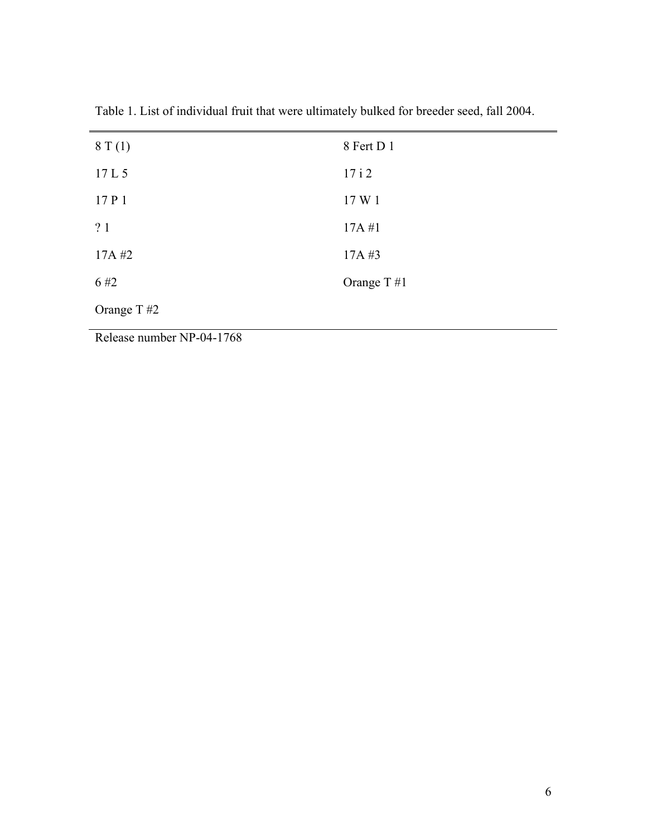| 8T(1)      | 8 Fert D 1    |
|------------|---------------|
| 17L5       | 17i2          |
| 17 P 1     | 17 W 1        |
| ?1         | 17A#1         |
| 17A#2      | 17A#3         |
| 6#2        | Orange T $#1$ |
| Orange T#2 |               |

Table 1. List of individual fruit that were ultimately bulked for breeder seed, fall 2004.

Release number NP-04-1768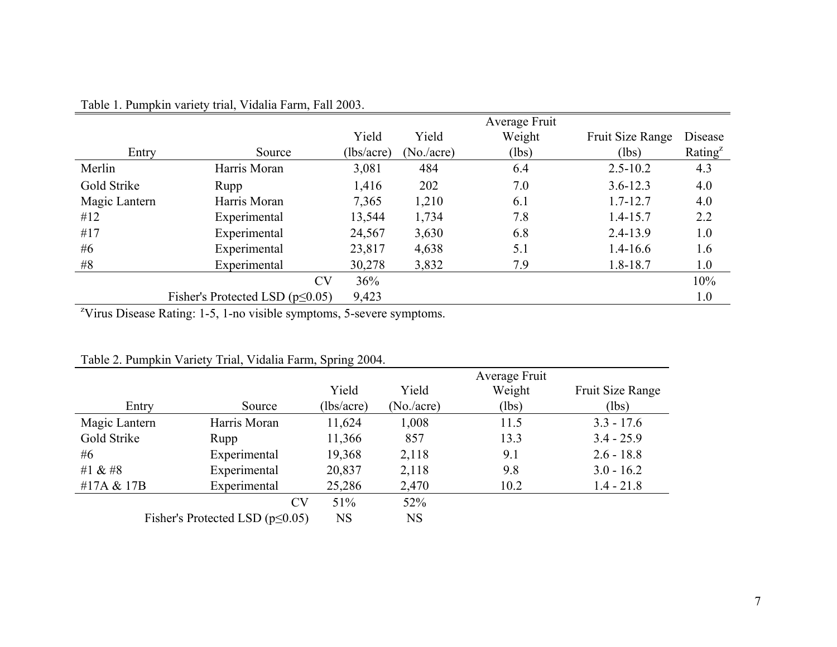|               |                                       |            |            | Average Fruit |                  |            |
|---------------|---------------------------------------|------------|------------|---------------|------------------|------------|
|               |                                       | Yield      | Yield      | Weight        | Fruit Size Range | Disease    |
| Entry         | Source                                | (lbs/acre) | (No./acre) | (lbs)         | (lbs)            | Rating $z$ |
| Merlin        | Harris Moran                          | 3,081      | 484        | 6.4           | $2.5 - 10.2$     | 4.3        |
| Gold Strike   | Rupp                                  | 1,416      | 202        | 7.0           | $3.6 - 12.3$     | 4.0        |
| Magic Lantern | Harris Moran                          | 7,365      | 1,210      | 6.1           | $1.7 - 12.7$     | 4.0        |
| #12           | Experimental                          | 13,544     | 1,734      | 7.8           | $1.4 - 15.7$     | 2.2        |
| #17           | Experimental                          | 24,567     | 3,630      | 6.8           | $2.4 - 13.9$     | 1.0        |
| #6            | Experimental                          | 23,817     | 4,638      | 5.1           | $1.4 - 16.6$     | 1.6        |
| #8            | Experimental                          | 30,278     | 3,832      | 7.9           | 1.8-18.7         | 1.0        |
|               | <b>CV</b>                             | 36%        |            |               |                  | 10%        |
|               | Fisher's Protected LSD $(p \le 0.05)$ | 9,423      |            |               |                  | 1.0        |

# Table 1. Pumpkin variety trial, Vidalia Farm, Fall 2003.

<sup>z</sup>Virus Disease Rating: 1-5, 1-no visible symptoms, 5-severe symptoms.

| Table 2. Pumpkin Variety Trial, Vidalia Farm, Spring 2004. |  |  |
|------------------------------------------------------------|--|--|
|                                                            |  |  |

|                                       |              |            |            | Average Fruit |                  |
|---------------------------------------|--------------|------------|------------|---------------|------------------|
|                                       |              | Yield      | Yield      | Weight        | Fruit Size Range |
| Entry                                 | Source       | (lbs/acre) | (No./acre) | (lbs)         | (lbs)            |
| Magic Lantern                         | Harris Moran | 11,624     | 1,008      | 11.5          | $3.3 - 17.6$     |
| Gold Strike                           | Rupp         | 11,366     | 857        | 13.3          | $3.4 - 25.9$     |
| #6                                    | Experimental | 19,368     | 2,118      | 9.1           | $2.6 - 18.8$     |
| #1 $& 48$                             | Experimental | 20,837     | 2,118      | 9.8           | $3.0 - 16.2$     |
| #17A & 17B                            | Experimental | 25,286     | 2,470      | 10.2          | $1.4 - 21.8$     |
|                                       | <b>CV</b>    | 51%        | 52%        |               |                  |
| Fisher's Protected LSD $(p \le 0.05)$ |              | <b>NS</b>  | <b>NS</b>  |               |                  |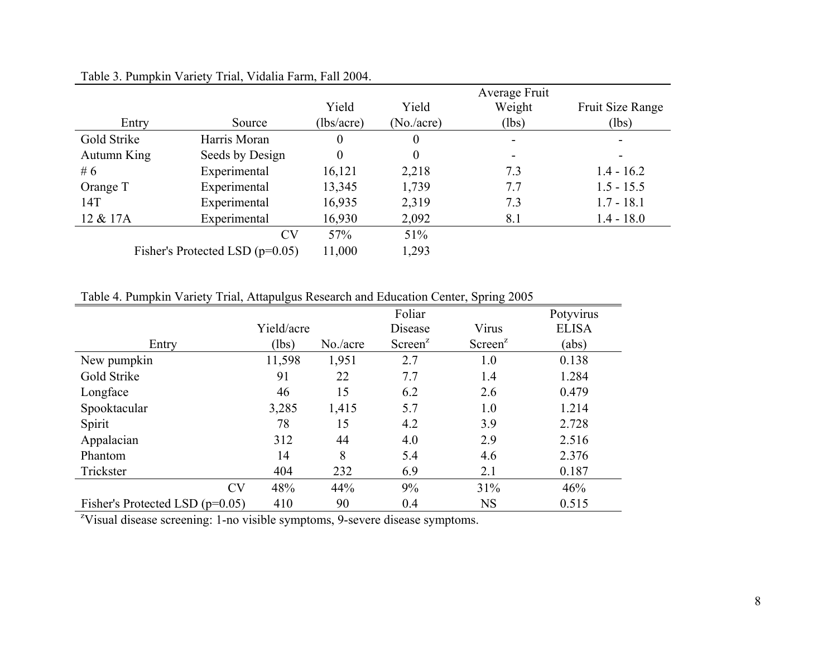|             |                                   |            |                  | Average Fruit |                  |
|-------------|-----------------------------------|------------|------------------|---------------|------------------|
|             |                                   | Yield      | Yield            | Weight        | Fruit Size Range |
| Entry       | Source                            | (lbs/acre) | (No./acre)       | (lbs)         | (lbs)            |
| Gold Strike | Harris Moran                      | 0          | $\boldsymbol{0}$ |               | -                |
| Autumn King | Seeds by Design                   | 0          | $\theta$         |               | $\blacksquare$   |
| #6          | Experimental                      | 16,121     | 2,218            | 7.3           | $1.4 - 16.2$     |
| Orange T    | Experimental                      | 13,345     | 1,739            | 7.7           | $1.5 - 15.5$     |
| 14T         | Experimental                      | 16,935     | 2,319            | 7.3           | $1.7 - 18.1$     |
| 12 & 17A    | Experimental                      | 16,930     | 2,092            | 8.1           | $1.4 - 18.0$     |
|             | <b>CV</b>                         | 57%        | 51%              |               |                  |
|             | Fisher's Protected LSD $(p=0.05)$ | 11,000     | 1,293            |               |                  |

# Table 3. Pumpkin Variety Trial, Vidalia Farm, Fall 2004.

Table 4. Pumpkin Variety Trial, Attapulgus Research and Education Center, Spring 2005

|                                   |            |          | Foliar              |                     | Potyvirus    |
|-----------------------------------|------------|----------|---------------------|---------------------|--------------|
|                                   | Yield/acre |          | Disease             | Virus               | <b>ELISA</b> |
| Entry                             | (lbs)      | No./acre | Screen <sup>z</sup> | Screen <sup>z</sup> | (abs)        |
| New pumpkin                       | 11,598     | 1,951    | 2.7                 | 1.0                 | 0.138        |
| Gold Strike                       | 91         | 22       | 7.7                 | 1.4                 | 1.284        |
| Longface                          | 46         | 15       | 6.2                 | 2.6                 | 0.479        |
| Spooktacular                      | 3,285      | 1,415    | 5.7                 | 1.0                 | 1.214        |
| Spirit                            | 78         | 15       | 4.2                 | 3.9                 | 2.728        |
| Appalacian                        | 312        | 44       | 4.0                 | 2.9                 | 2.516        |
| Phantom                           | 14         | 8        | 5.4                 | 4.6                 | 2.376        |
| Trickster                         | 404        | 232      | 6.9                 | 2.1                 | 0.187        |
| <b>CV</b>                         | 48%        | 44%      | 9%                  | 31%                 | 46%          |
| Fisher's Protected LSD $(p=0.05)$ | 410        | 90       | 0.4                 | <b>NS</b>           | 0.515        |

<sup>z</sup>Visual disease screening: 1-no visible symptoms, 9-severe disease symptoms.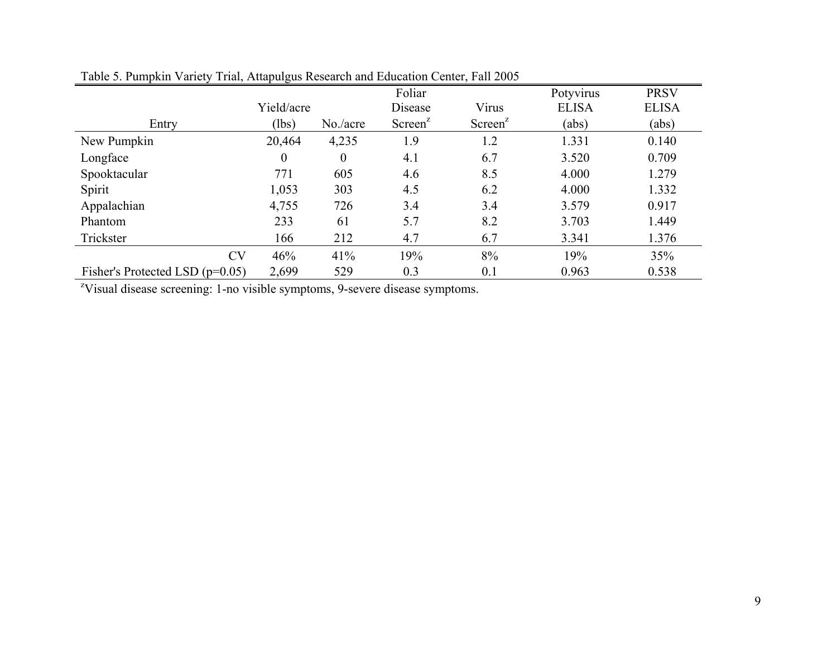|                                   |            |                | Foliar              |                     | Potyvirus    | <b>PRSV</b>  |
|-----------------------------------|------------|----------------|---------------------|---------------------|--------------|--------------|
|                                   | Yield/acre |                | Disease             | Virus               | <b>ELISA</b> | <b>ELISA</b> |
| Entry                             | (lbs)      | No./acre       | Screen <sup>2</sup> | Screen <sup>z</sup> | (abs)        | (abs)        |
| New Pumpkin                       | 20,464     | 4,235          | 1.9                 | 1.2                 | 1.331        | 0.140        |
| Longface                          | $\theta$   | $\overline{0}$ | 4.1                 | 6.7                 | 3.520        | 0.709        |
| Spooktacular                      | 771        | 605            | 4.6                 | 8.5                 | 4.000        | 1.279        |
| Spirit                            | 1,053      | 303            | 4.5                 | 6.2                 | 4.000        | 1.332        |
| Appalachian                       | 4,755      | 726            | 3.4                 | 3.4                 | 3.579        | 0.917        |
| Phantom                           | 233        | 61             | 5.7                 | 8.2                 | 3.703        | 1.449        |
| Trickster                         | 166        | 212            | 4.7                 | 6.7                 | 3.341        | 1.376        |
| <b>CV</b>                         | 46%        | 41%            | 19%                 | 8%                  | 19%          | 35%          |
| Fisher's Protected LSD $(p=0.05)$ | 2,699      | 529            | 0.3                 | 0.1                 | 0.963        | 0.538        |

# Table 5. Pumpkin Variety Trial, Attapulgus Research and Education Center, Fall 2005

<sup>z</sup>Visual disease screening: 1-no visible symptoms, 9-severe disease symptoms.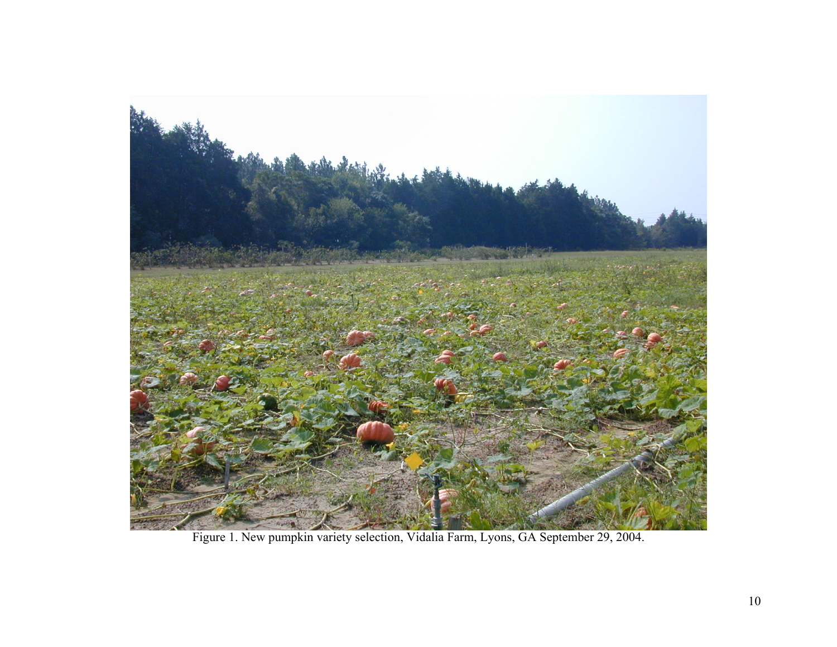

Figure 1. New pumpkin variety selection, Vidalia Farm, Lyons, GA September 29, 2004.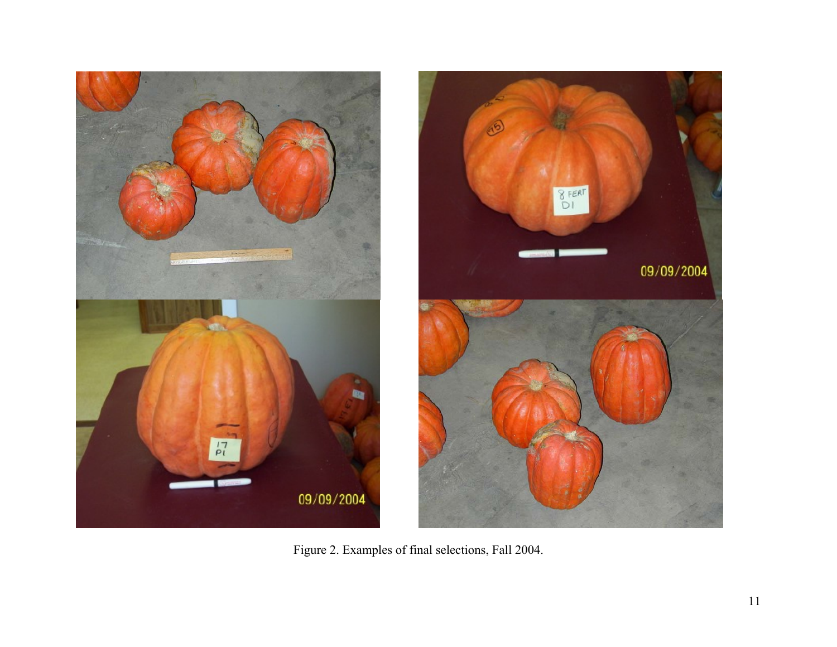



Figure 2. Examples of final selections, Fall 2004.